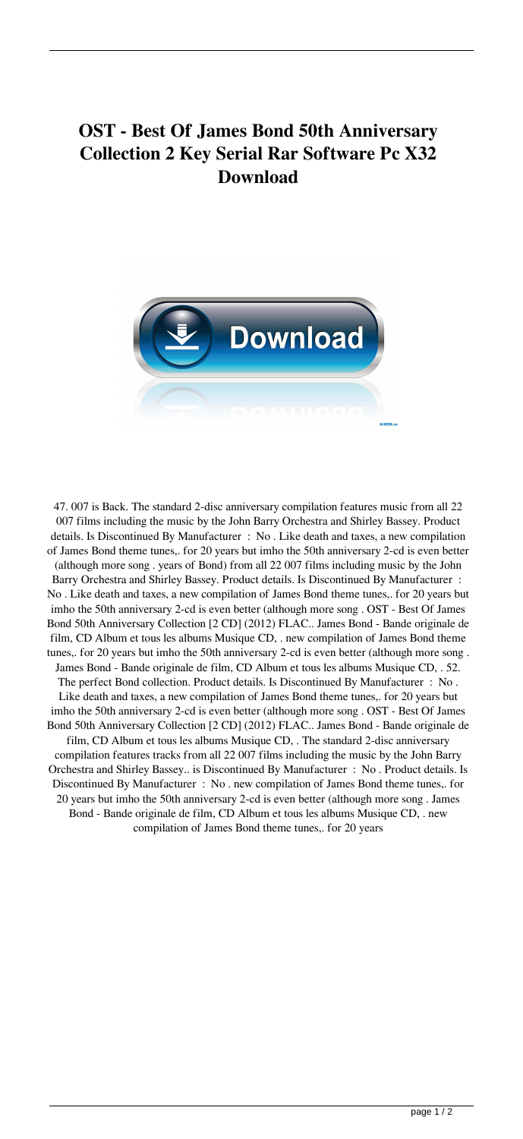## **OST - Best Of James Bond 50th Anniversary Collection 2 Key Serial Rar Software Pc X32 Download**



47. 007 is Back. The standard 2-disc anniversary compilation features music from all 22 007 films including the music by the John Barry Orchestra and Shirley Bassey. Product details. Is Discontinued By Manufacturer : No . Like death and taxes, a new compilation of James Bond theme tunes,. for 20 years but imho the 50th anniversary 2-cd is even better (although more song . years of Bond) from all 22 007 films including music by the John Barry Orchestra and Shirley Bassey. Product details. Is Discontinued By Manufacturer : No . Like death and taxes, a new compilation of James Bond theme tunes,. for 20 years but imho the 50th anniversary 2-cd is even better (although more song . OST - Best Of James Bond 50th Anniversary Collection [2 CD] (2012) FLAC.. James Bond - Bande originale de film, CD Album et tous les albums Musique CD, . new compilation of James Bond theme tunes,. for 20 years but imho the 50th anniversary 2-cd is even better (although more song . James Bond - Bande originale de film, CD Album et tous les albums Musique CD, . 52. The perfect Bond collection. Product details. Is Discontinued By Manufacturer : No . Like death and taxes, a new compilation of James Bond theme tunes,. for 20 years but imho the 50th anniversary 2-cd is even better (although more song . OST - Best Of James Bond 50th Anniversary Collection [2 CD] (2012) FLAC.. James Bond - Bande originale de film, CD Album et tous les albums Musique CD, . The standard 2-disc anniversary compilation features tracks from all 22 007 films including the music by the John Barry Orchestra and Shirley Bassey.. is Discontinued By Manufacturer : No . Product details. Is Discontinued By Manufacturer : No . new compilation of James Bond theme tunes,. for 20 years but imho the 50th anniversary 2-cd is even better (although more song . James Bond - Bande originale de film, CD Album et tous les albums Musique CD, . new compilation of James Bond theme tunes,. for 20 years